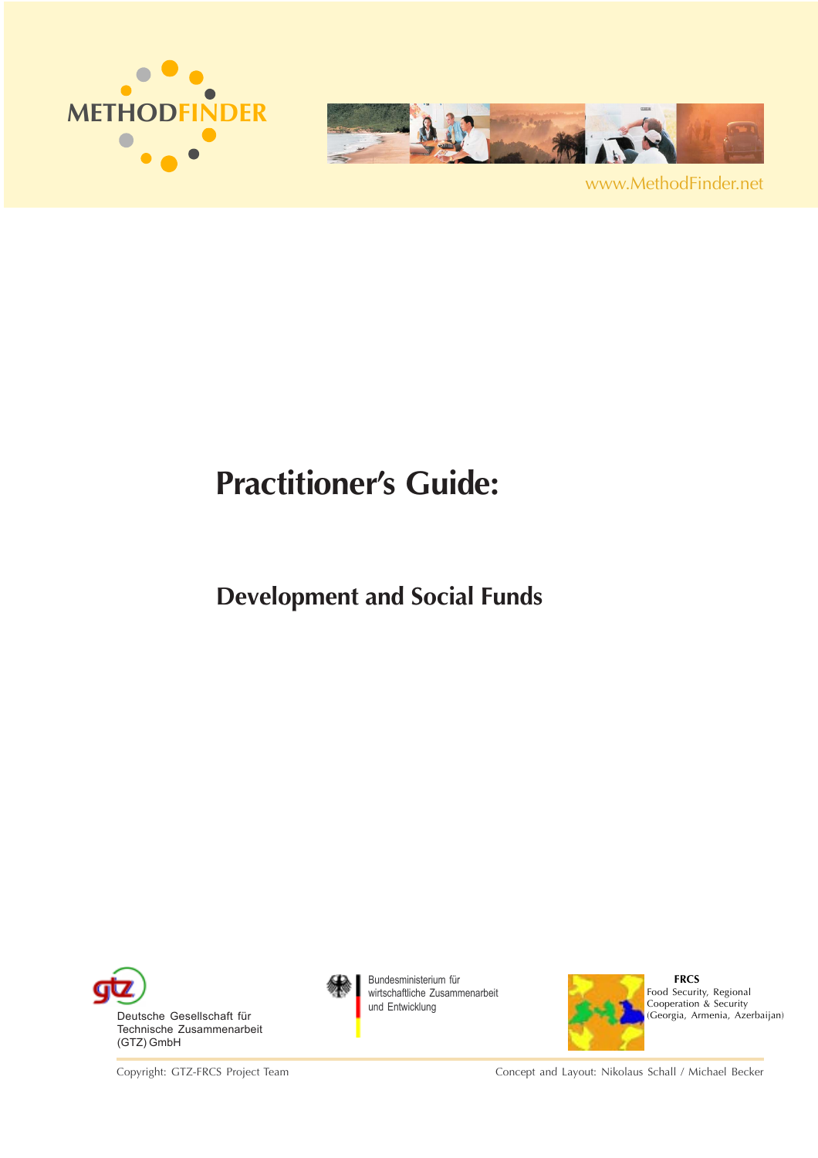



www.MethodFinder.net

## **Practitioner's Guide:**

## **Development and Social Funds**



Copyright: GTZ-FRCS Project Team



Bundesministerium für wirtschaftliche Zusammenarbeit und Entwicklung



 **FRCS** Food Security, Regional Cooperation & Security (Georgia, Armenia, Azerbaijan)

Concept and Layout: Nikolaus Schall / Michael Becker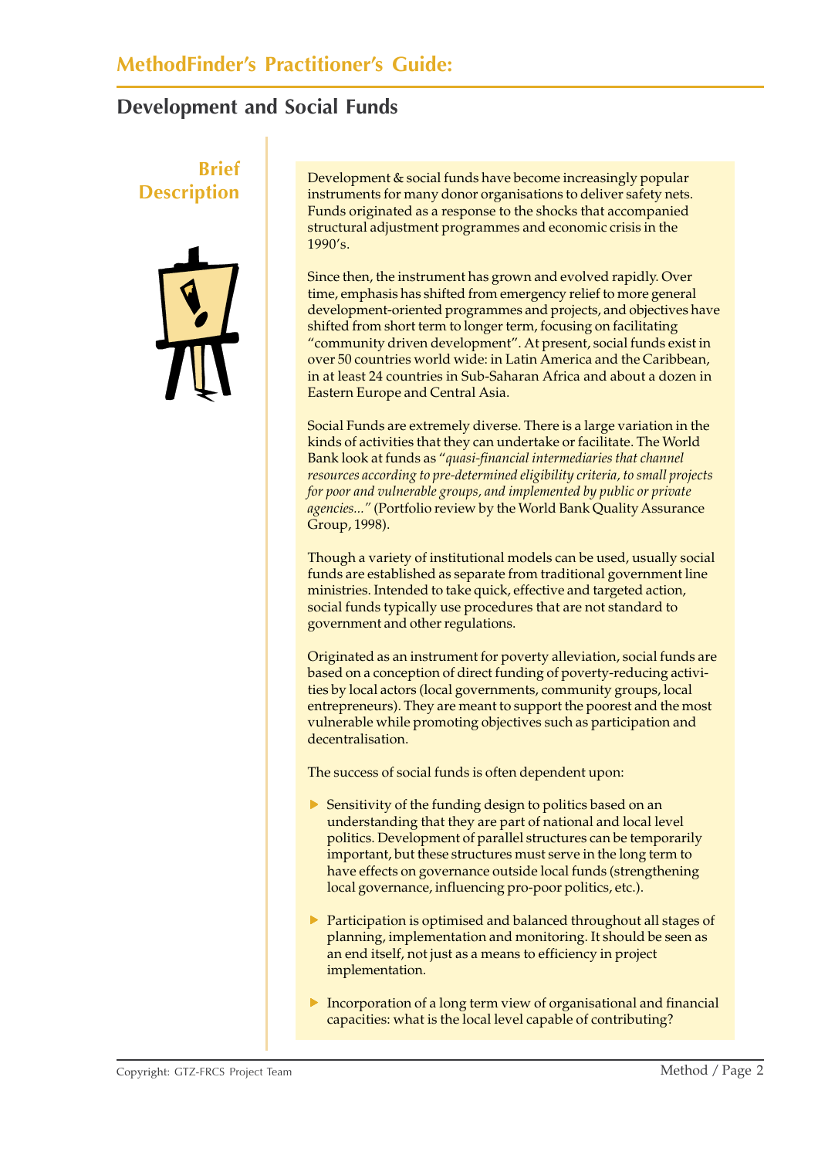# **Brief**



**DESCRIPTION**<br> **EXECTIPTION** Developments for many donor organisations to deliver safety nets. Funds originated as a response to the shocks that accompanied structural adjustment programmes and economic crisis in the 1990's.

> Since then, the instrument has grown and evolved rapidly. Over time, emphasis has shifted from emergency relief to more general development-oriented programmes and projects, and objectives have shifted from short term to longer term, focusing on facilitating "community driven development". At present, social funds exist in over 50 countries world wide: in Latin America and the Caribbean, in at least 24 countries in Sub-Saharan Africa and about a dozen in Eastern Europe and Central Asia.

Social Funds are extremely diverse. There is a large variation in the kinds of activities that they can undertake or facilitate. The World Bank look at funds as "*quasi-financial intermediaries that channel resources according to pre-determined eligibility criteria, to small projects for poor and vulnerable groups, and implemented by public or private agencies..."* (Portfolio review by the World Bank Quality Assurance Group, 1998).

Though a variety of institutional models can be used, usually social funds are established as separate from traditional government line ministries. Intended to take quick, effective and targeted action, social funds typically use procedures that are not standard to government and other regulations.

Originated as an instrument for poverty alleviation, social funds are based on a conception of direct funding of poverty-reducing activities by local actors (local governments, community groups, local entrepreneurs). They are meant to support the poorest and the most vulnerable while promoting objectives such as participation and decentralisation.

The success of social funds is often dependent upon:

- $\triangleright$  Sensitivity of the funding design to politics based on an understanding that they are part of national and local level politics. Development of parallel structures can be temporarily important, but these structures must serve in the long term to have effects on governance outside local funds (strengthening local governance, influencing pro-poor politics, etc.).
- $\triangleright$  Participation is optimised and balanced throughout all stages of planning, implementation and monitoring. It should be seen as an end itself, not just as a means to efficiency in project implementation.
- $\triangleright$  Incorporation of a long term view of organisational and financial capacities: what is the local level capable of contributing?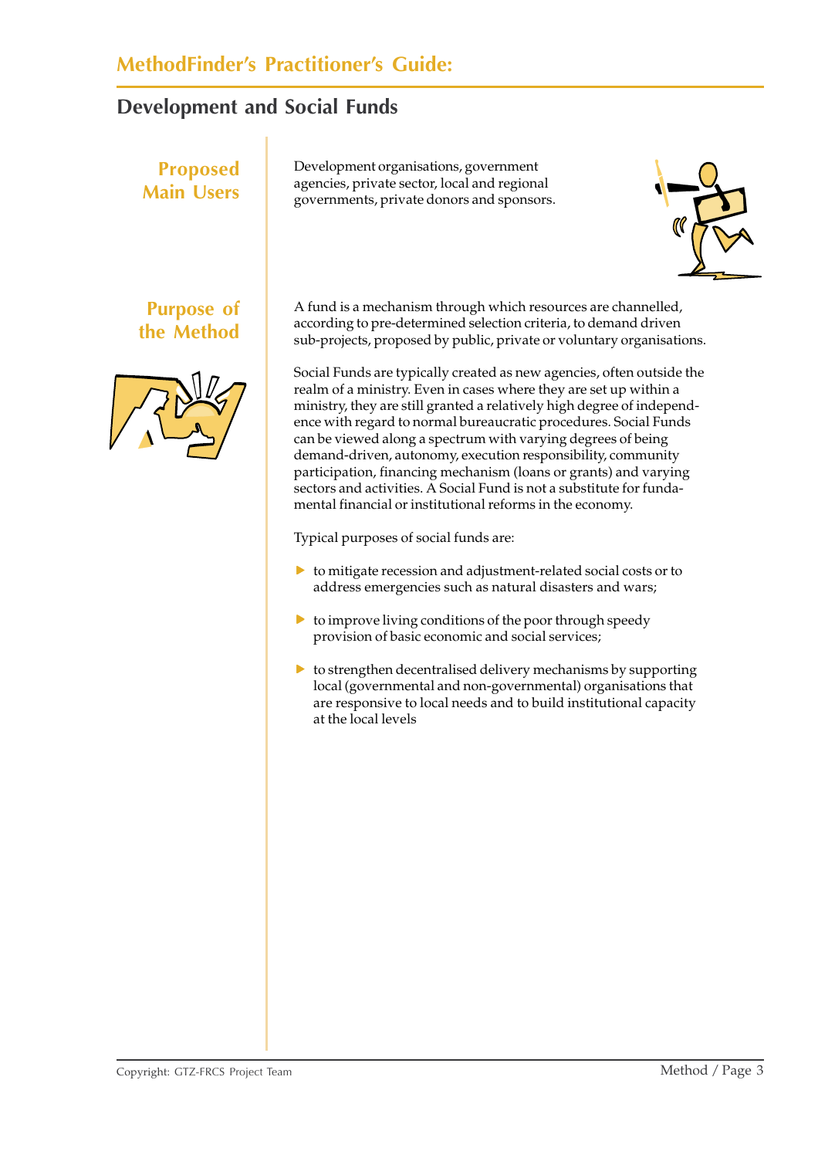# **Main Users**

**Purpose of the Method**

**Proposed**





A fund is a mechanism through which resources are channelled, according to pre-determined selection criteria, to demand driven sub-projects, proposed by public, private or voluntary organisations.

Social Funds are typically created as new agencies, often outside the realm of a ministry. Even in cases where they are set up within a ministry, they are still granted a relatively high degree of independence with regard to normal bureaucratic procedures. Social Funds can be viewed along a spectrum with varying degrees of being demand-driven, autonomy, execution responsibility, community participation, financing mechanism (loans or grants) and varying sectors and activities. A Social Fund is not a substitute for fundamental financial or institutional reforms in the economy.

Typical purposes of social funds are:

- $\triangleright$  to mitigate recession and adjustment-related social costs or to address emergencies such as natural disasters and wars;
- $\triangleright$  to improve living conditions of the poor through speedy provision of basic economic and social services;
- $\triangleright$  to strengthen decentralised delivery mechanisms by supporting local (governmental and non-governmental) organisations that are responsive to local needs and to build institutional capacity at the local levels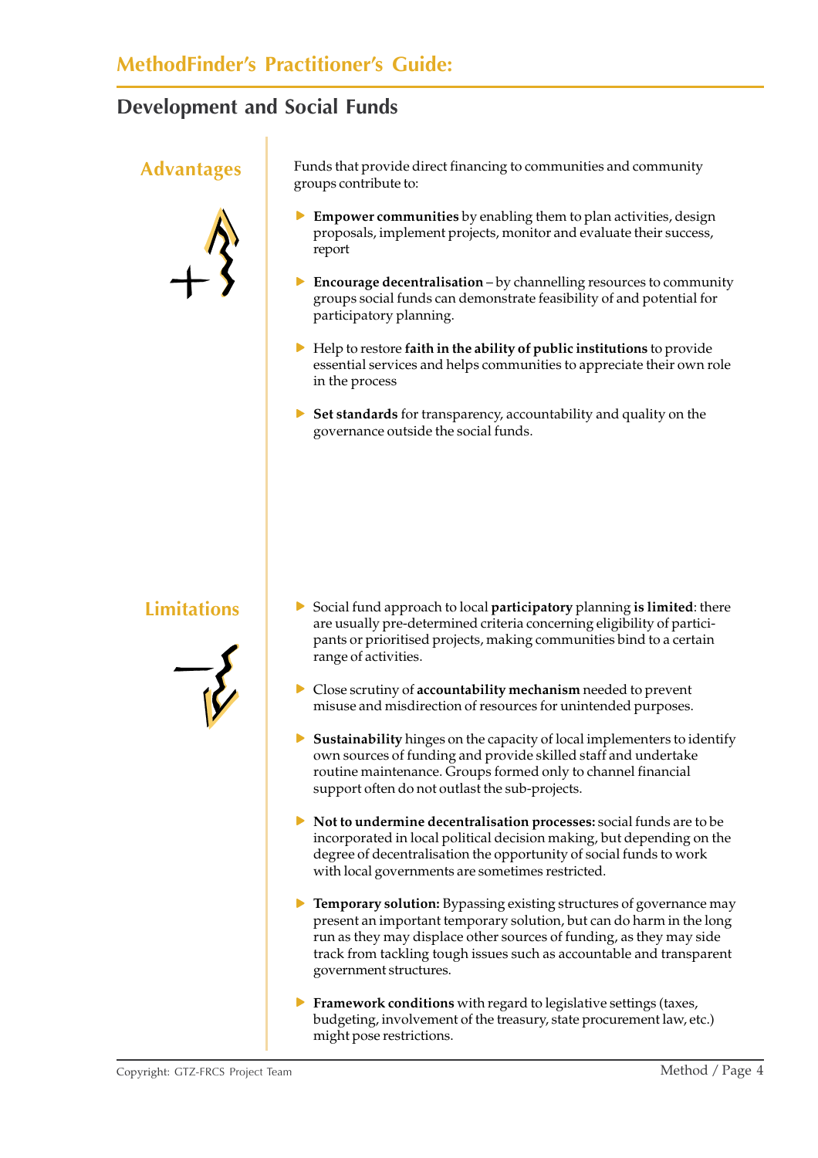

Advantages Funds that provide direct financing to communities and community groups contribute to:

- **Empower communities** by enabling them to plan activities, design proposals, implement projects, monitor and evaluate their success, report
- **Encourage decentralisation** by channelling resources to community groups social funds can demonstrate feasibility of and potential for participatory planning.
- **F** Help to restore faith in the ability of public institutions to provide essential services and helps communities to appreciate their own role in the process
- **Figure 3** Set standards for transparency, accountability and quality on the governance outside the social funds.



- **Limitations Fig. 3** Social fund approach to local **participatory** planning **is limited**: there are usually pre-determined criteria concerning eligibility of participants or prioritised projects, making communities bind to a certain range of activities.
	- **F** Close scrutiny of **accountability mechanism** needed to prevent misuse and misdirection of resources for unintended purposes.
	- **F** Sustainability hinges on the capacity of local implementers to identify own sources of funding and provide skilled staff and undertake routine maintenance. Groups formed only to channel financial support often do not outlast the sub-projects.
	- **Not to undermine decentralisation processes:** social funds are to be incorporated in local political decision making, but depending on the degree of decentralisation the opportunity of social funds to work with local governments are sometimes restricted.
	- **Femporary solution:** Bypassing existing structures of governance may present an important temporary solution, but can do harm in the long run as they may displace other sources of funding, as they may side track from tackling tough issues such as accountable and transparent government structures.
	- **Framework conditions** with regard to legislative settings (taxes, budgeting, involvement of the treasury, state procurement law, etc.) might pose restrictions.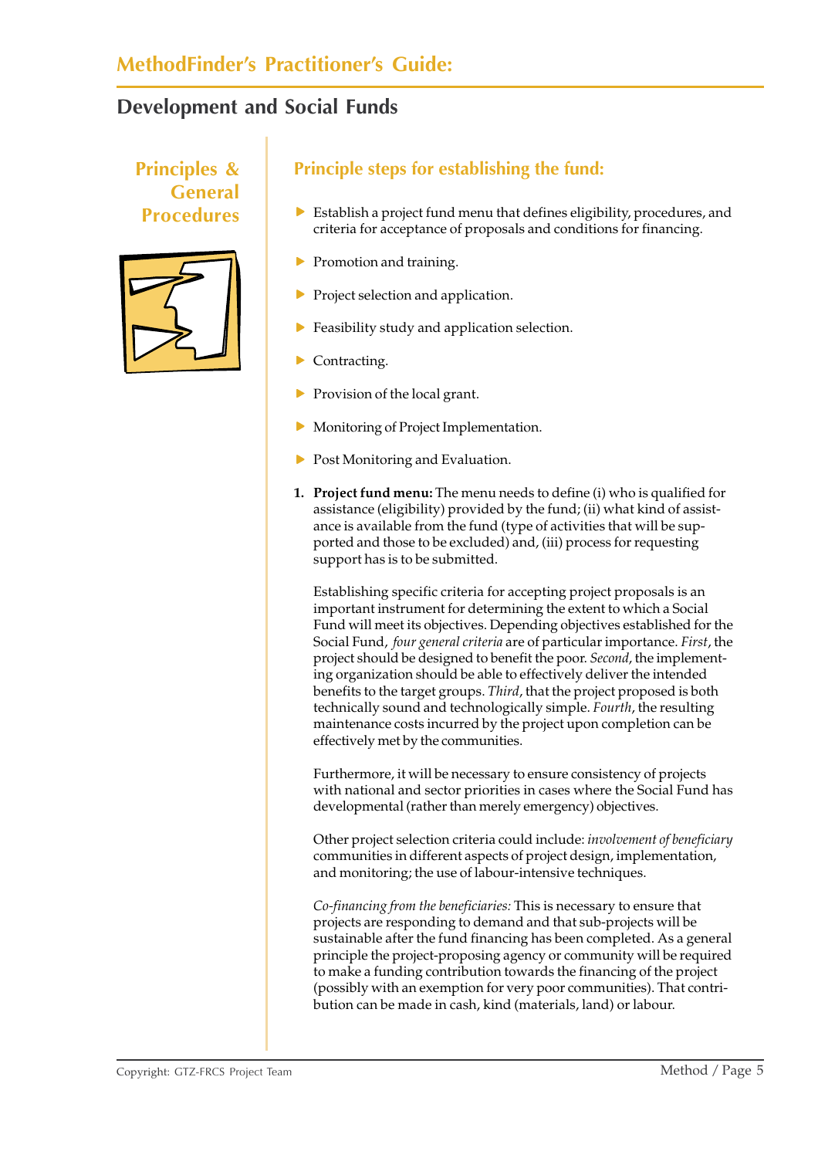#### **Principles & General Procedures**



#### **Principle steps for establishing the fund:**

- $\blacktriangleright$  Establish a project fund menu that defines eligibility, procedures, and criteria for acceptance of proposals and conditions for financing.
- $\blacktriangleright$  Promotion and training.
- $\blacktriangleright$  Project selection and application.
- $\blacktriangleright$  Feasibility study and application selection.
- Contracting.
- Provision of the local grant.
- Monitoring of Project Implementation.
- $\triangleright$  Post Monitoring and Evaluation.
- **1. Project fund menu:** The menu needs to define (i) who is qualified for assistance (eligibility) provided by the fund; (ii) what kind of assistance is available from the fund (type of activities that will be supported and those to be excluded) and, (iii) process for requesting support has is to be submitted.

Establishing specific criteria for accepting project proposals is an important instrument for determining the extent to which a Social Fund will meet its objectives. Depending objectives established for the Social Fund, *four general criteria* are of particular importance. *First*, the project should be designed to benefit the poor. *Second*, the implementing organization should be able to effectively deliver the intended benefits to the target groups. *Third*, that the project proposed is both technically sound and technologically simple. *Fourth*, the resulting maintenance costs incurred by the project upon completion can be effectively met by the communities.

Furthermore, it will be necessary to ensure consistency of projects with national and sector priorities in cases where the Social Fund has developmental (rather than merely emergency) objectives.

Other project selection criteria could include: *involvement of beneficiary* communities in different aspects of project design, implementation, and monitoring; the use of labour-intensive techniques.

*Co-financing from the beneficiaries:* This is necessary to ensure that projects are responding to demand and that sub-projects will be sustainable after the fund financing has been completed. As a general principle the project-proposing agency or community will be required to make a funding contribution towards the financing of the project (possibly with an exemption for very poor communities). That contribution can be made in cash, kind (materials, land) or labour.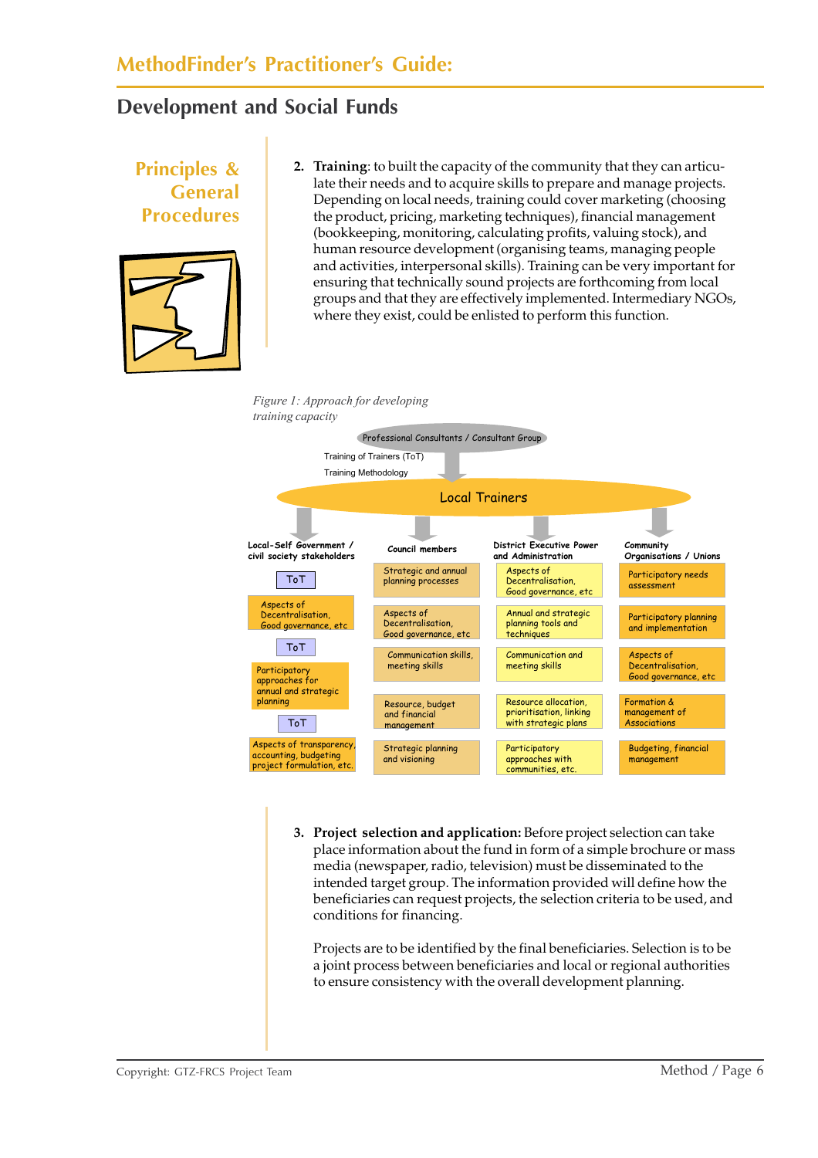#### **Principles & General Procedures 2. Training**: to built the capacity of the community that they can articulate their needs and to acquire skills to prepare and manage projects. Depending on local needs, training could cover marketing (choosing the product, pricing, marketing techniques), financial management (bookkeeping, monitoring, calculating profits, valuing stock), and human resource development (organising teams, managing people and activities, interpersonal skills). Training can be very important for ensuring that technically sound projects are forthcoming from local groups and that they are effectively implemented. Intermediary NGOs, where they exist, could be enlisted to perform this function.

#### *Figure 1: Approach for developing training capacity*



**3. Project selection and application:** Before project selection can take place information about the fund in form of a simple brochure or mass media (newspaper, radio, television) must be disseminated to the intended target group. The information provided will define how the beneficiaries can request projects, the selection criteria to be used, and conditions for financing.

Projects are to be identified by the final beneficiaries. Selection is to be a joint process between beneficiaries and local or regional authorities to ensure consistency with the overall development planning.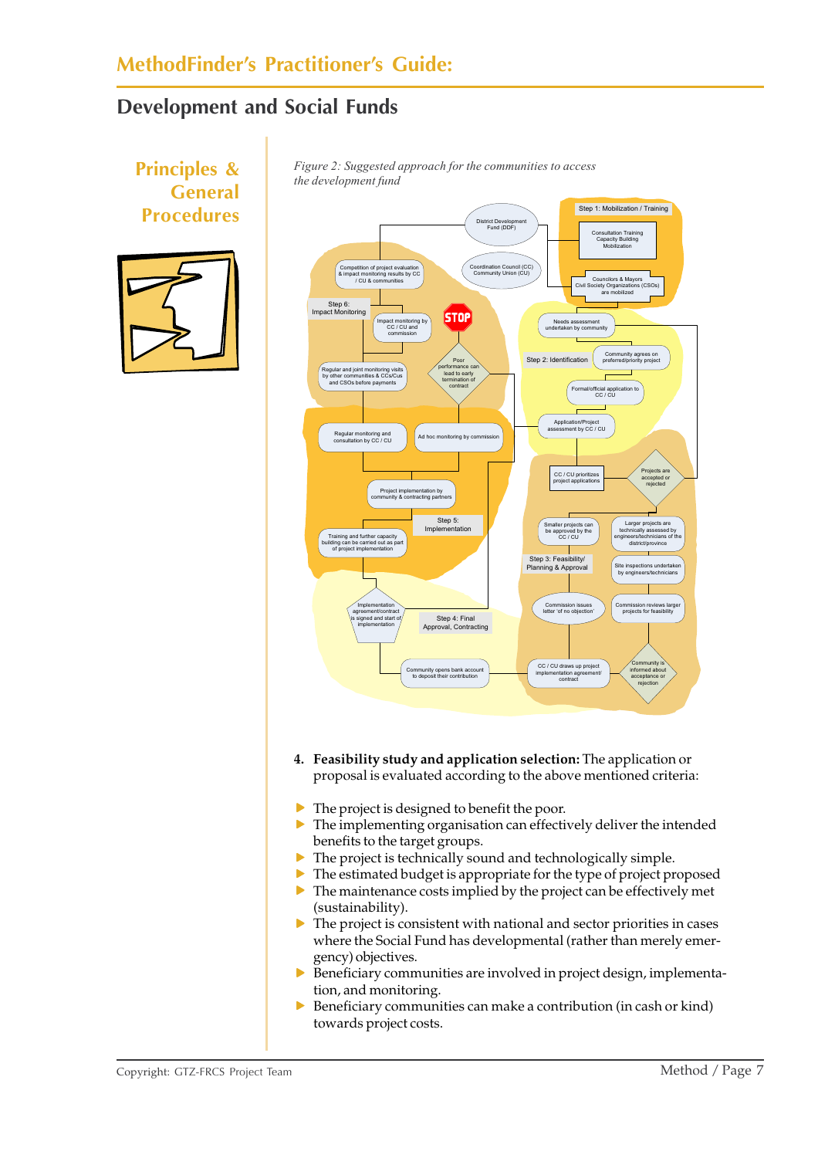#### **MethodFinder's Practitioner's Guide:**

#### **Development and Social Funds**



 $\triangleright$  Beneficiary communities can make a contribution (in cash or kind) towards project costs.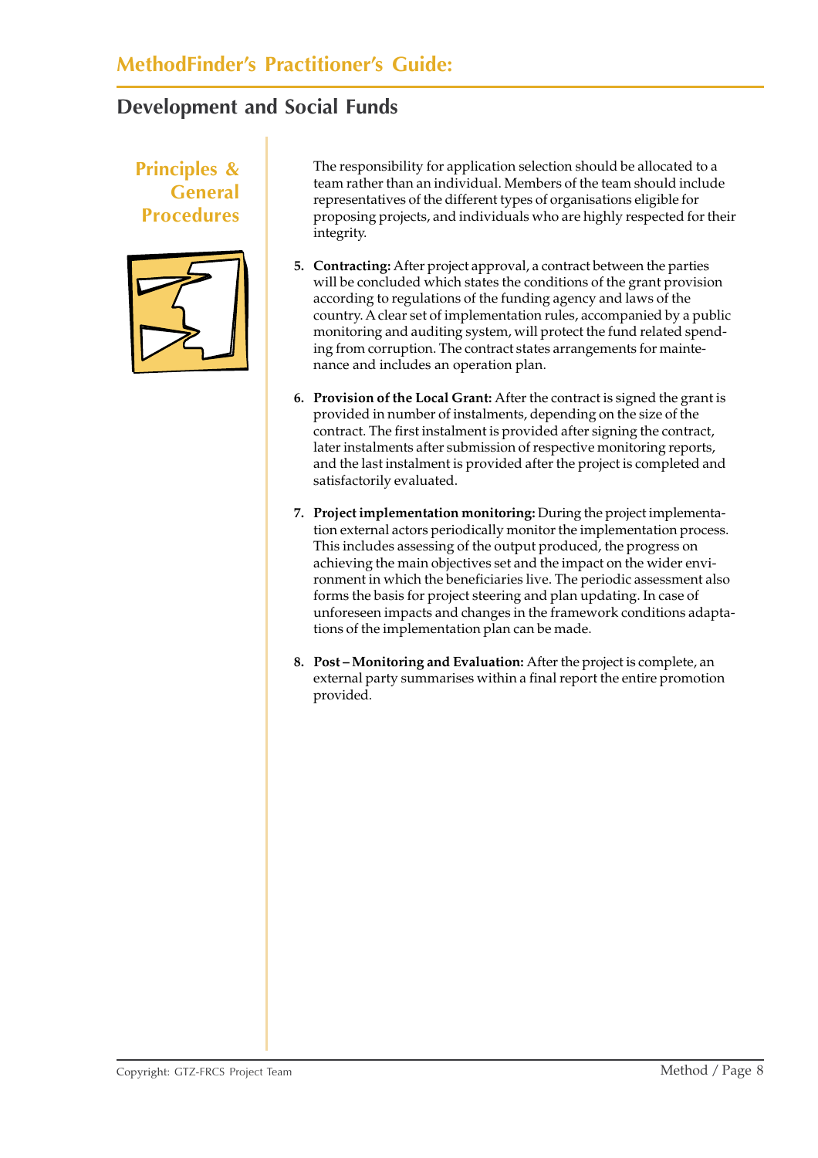#### **Principles & General Procedures**



The responsibility for application selection should be allocated to a team rather than an individual. Members of the team should include representatives of the different types of organisations eligible for proposing projects, and individuals who are highly respected for their integrity.

- **5. Contracting:** After project approval, a contract between the parties will be concluded which states the conditions of the grant provision according to regulations of the funding agency and laws of the country. A clear set of implementation rules, accompanied by a public monitoring and auditing system, will protect the fund related spending from corruption. The contract states arrangements for maintenance and includes an operation plan.
- **6. Provision of the Local Grant:** After the contract is signed the grant is provided in number of instalments, depending on the size of the contract. The first instalment is provided after signing the contract, later instalments after submission of respective monitoring reports, and the last instalment is provided after the project is completed and satisfactorily evaluated.
- **7. Project implementation monitoring:** During the project implementation external actors periodically monitor the implementation process. This includes assessing of the output produced, the progress on achieving the main objectives set and the impact on the wider environment in which the beneficiaries live. The periodic assessment also forms the basis for project steering and plan updating. In case of unforeseen impacts and changes in the framework conditions adaptations of the implementation plan can be made.
- **8. Post Monitoring and Evaluation:** After the project is complete, an external party summarises within a final report the entire promotion provided.